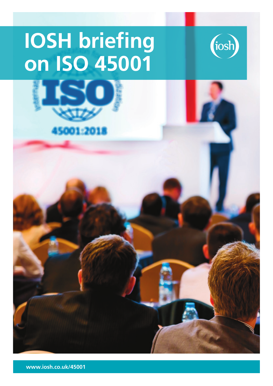# **IOSH briefing on ISO 45001**





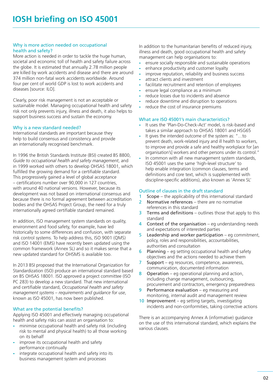#### Why is more action needed on occupational health and safety?

More action is needed in order to tackle the huge human, societal and economic toll of health and safety failure across the globe. It is estimated that annually 2.78 million people are killed by work accidents and disease and there are around 374 million non-fatal work accidents worldwide. Around four per cent of world GDP is lost to work accidents and diseases [source: ILO].

Clearly, poor risk management is not an acceptable or sustainable model. Managing occupational health and safety risk not only prevents injury, illness and death, it also helps to support business success and sustain the economy.

#### Why is a new standard needed?

International standards are important because they help to build consensus and consistency and provide an internationally recognised benchmark.

In 1996 the British Standards Institute (BSI) created BS 8800, *Guide to occupational health and safety management*, and in 1999 worked with others to develop OHSAS 18001, which fulfilled the growing demand for a certifiable standard. This progressively gained a level of global acceptance – certifications number over 90,000 in 127 countries, with around 40 national versions. However, because its development was not based on international consensus and because there is no formal agreement between accreditation bodies and the OHSAS Project Group, the need for a truly internationally agreed certifiable standard remained.

In addition, ISO management system standards on quality, environment and food safety, for example, have led historically to some differences and confusion, with separate risk control systems. To help address this, ISO 9001 (QMS) and ISO 14001 (EMS) have recently been updated using the common framework (Annex SL) and so it makes sense that a new updated standard for OHSMS is available too.

In 2013 BSI proposed that the International Organization for Standardization (ISO) produce an international standard based on BS OHSAS 18001. ISO approved a project committee (ISO PC 283) to develop a new standard. That new international and certifiable standard, *Occupational health and safety management systems – requirements and guidance for use*, known as ISO 45001, has now been published.

### What are the potential benefits?

Applying ISO 45001 and effectively managing occupational health and safety risks can assist an organisation to:

- minimise occupational health and safety risk (including risk to mental and physical health) to all those working on its behalf
- improve its occupational health and safety performance continually
- integrate occupational health and safety into its business management system and processes

In addition to the humanitarian benefits of reduced injury, illness and death, good occupational health and safety management can help organisations to:

- ensure socially responsible and sustainable operations
- enhance productivity and customer loyalty
- improve reputation, reliability and business success
- attract clients and investment
- facilitate recruitment and retention of employees
- ensure legal compliance as a minimum
- reduce losses due to incidents and absence
- reduce downtime and disruption to operations
- reduce the cost of insurance premiums

### What are ISO 45001's main characteristics?

- It uses the 'Plan-Do-Check-Act' model, is risk-based and takes a similar approach to OHSAS 18001 and HSG65
- It gives the intended outcome of the system as: "...to prevent death, work-related injury and ill health to workers, to improve and provide a safe and healthy workplace for [an organisation's] workers and other persons under its control."
- In common with all new management system standards, ISO 45001 uses the same 'high-level structure' to help enable integration (common clauses, terms and definitions and core text, which is supplemented with discipline-specific additions), also known as 'Annex SL'

### Outline of clauses in the draft standard

- 1 Scope the applicability of this international standard
- 2 Normative references there are no normative references in this standard
- $3$  Terms and definitions outlines those that apply to this standard
- 4 Context of the organisation eg understanding needs and expectations of interested parties
- 5 Leadership and worker participation eg commitment, policy, roles and responsibilities, accountabilities, authorities and consultation
- 6 Planning eg setting occupational health and safety objectives and the actions needed to achieve them
- 7 Support eg resources, competence, awareness, communication, documented information
- 8 Operation eg operational planning and action, including change management, outsourcing, procurement and contractors, emergency preparedness
- 9 Performance evaluation eg measuring and monitoring, internal audit and management review
- 10 Improvement eg setting targets, investigating incidents and non-conformities, taking corrective actions

There is an accompanying Annex A (informative) guidance on the use of this international standard, which explains the various clauses.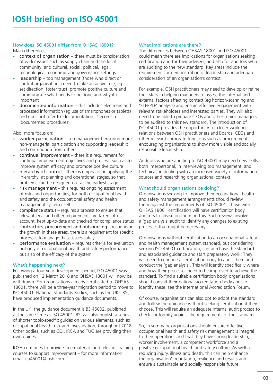## How does ISO 45001 differ from OHSAS 18001?

Main differences:

- $context of organization there must be consideration$ of wider issues such as supply chain and the local community; and cultural, social, political, legal, technological, economic and governance settings
- leadership top management (those who direct or control organisations) need to take an active role, eg set direction, foster trust, promote positive culture and communicate what needs to be done and why it is important
- documented information this includes electronic and processed information (eg use of smartphones or tablets) and does not refer to 'documentation', 'records' or 'documented procedures'

Also, more focus on:

- worker participation top management ensuring more non-managerial participation and supporting leadership and contribution from others
- $continual improvement there is a requirement for$ continual improvement objectives and process, such as to improve system efficacy and promote positive culture
- hierarchy of control there is emphasis on applying the 'hierarchy' at planning and operational stages, so that problems can be designed-out at the earliest stage
- risk management this requires ongoing assessment of risks and opportunities, for both occupational health and safety and the occupational safety and health management system itself
- compliance status requires a process to ensure that relevant legal and other requirements are taken into account, kept up-to-date and checked for compliance status
- contractors, procurement and outsourcing recognising the growth in these areas, there is a requirement for specific processes to manage these issues safely
- performance evaluation requires criteria for evaluation not only of occupational health and safety performance but also of the efficacy of the system

### What's happening next?

Following a four-year development period, ISO 45001 was published on 12 March 2018 and OHSAS 18001 will now be withdrawn. For organisations already certificated to OHSAS 18001, there will be a three-year migration period to move to ISO 45001. National Standards Bodies, such as the UK's BSI, have produced implementation guidance documents.

In the UK, the guidance document is BS 45002, published at the same time as ISO 45001. BSI will also publish a series of shorter topic-specific guides on various elements, such as occupational health, risk and investigation, throughout 2018. Other bodies, such as CQI, IRCA and TUC are providing their own guides.

IOSH continues to provide free materials and relevant training courses to support improvement – for more information email [iso45001@iosh.com.](mailto:iso45001%40iosh.com?subject=IOSH%20and%20ISO45001)

# What implications are there?

The differences between OHSAS 18001 and ISO 45001 could mean there are implications for organisations seeking certification and for their advisers; and also for auditors who are auditing to the new standard. Key areas include the requirement for demonstration of leadership and adequate consideration of an organisation's context.

For example, OSH practitioners may need to develop or refine their skills in helping managers to assess the internal and external factors affecting context (eg horizon-scanning and 'STEEPLE' analysis) and ensure effective engagement with relevant stakeholders and interested parties. They will also need to be able to prepare CEOs and other senior managers to be audited to this new standard. The introduction of ISO 45001 provides the opportunity for closer working relations between OSH practitioners and Boards, CEOs and other relevant corporate functions such as procurement, encouraging organisations to show more visible and socially responsible leadership.

Auditors who are auditing to ISO 45001 may need new skills, both interpersonal, in interviewing top management, and technical, in dealing with an increased variety of information sources and researching organisational context.

# What should organisations be doing?

Organisations seeking to improve their occupational health and safety management arrangements should review them against the requirements of ISO 45001. Those with OHSAS 18001 certification will have certification body auditors to advise on them on this. Such reviews involve a 'gap analysis' audit to identify any changes to existing processes that might be necessary.

Organisations without certification to an occupational safety and health management system standard, but considering seeking ISO 45001 certification, can purchase the standard and associated guidance and start preparatory work. They will need to engage a certification body to audit them and conduct the 'gap analysis'. This will identify specifically where and how their processes need to be improved to achieve the standard. To find a suitable certification body, organisations should consult their national accreditation body and, to identify these, see the International Accreditation Forum.

Of course, organisations can also opt to adopt the standard and follow the guidance without seeking certification if they choose. This will require an adequate internal audit process to check conformity against the requirements of the standard.

So, in summary, organisations should ensure effective occupational health and safety risk management is integral to their operations and that they have strong leadership, worker involvement, a competent workforce and a positive occupational health and safety culture. As well as reducing injury, illness and death, this can help enhance the organisation's reputation, resilience and results and ensure a sustainable and socially responsible future.